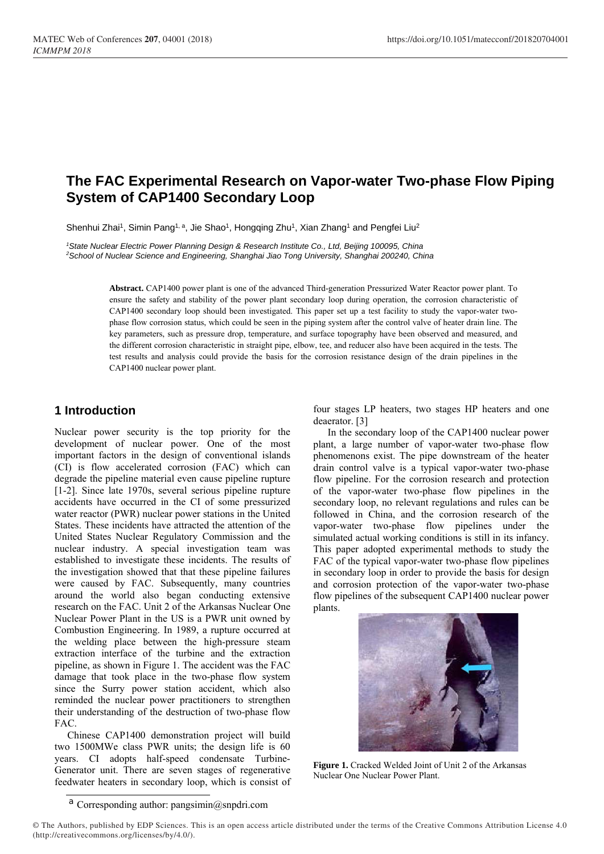# **The FAC Experimental Research on Vapor-water Two-phase Flow Piping System of CAP1400 Secondary Loop**

Shenhui Zhai<sup>1</sup>, Simin Pang<sup>1, a</sup>, Jie Shao<sup>1</sup>, Hongqing Zhu<sup>1</sup>, Xian Zhang<sup>1</sup> and Pengfei Liu<sup>2</sup>

*1 State Nuclear Electric Power Planning Design & Research Institute Co., Ltd, Beijing 100095, China 2 School of Nuclear Science and Engineering, Shanghai Jiao Tong University, Shanghai 200240, China* 

> **Abstract.** CAP1400 power plant is one of the advanced Third-generation Pressurized Water Reactor power plant. To ensure the safety and stability of the power plant secondary loop during operation, the corrosion characteristic of CAP1400 secondary loop should been investigated. This paper set up a test facility to study the vapor-water twophase flow corrosion status, which could be seen in the piping system after the control valve of heater drain line. The key parameters, such as pressure drop, temperature, and surface topography have been observed and measured, and the different corrosion characteristic in straight pipe, elbow, tee, and reducer also have been acquired in the tests. The test results and analysis could provide the basis for the corrosion resistance design of the drain pipelines in the CAP1400 nuclear power plant.

## **1 Introduction**

Nuclear power security is the top priority for the development of nuclear power. One of the most important factors in the design of conventional islands (CI) is flow accelerated corrosion (FAC) which can degrade the pipeline material even cause pipeline rupture [1-2]. Since late 1970s, several serious pipeline rupture accidents have occurred in the CI of some pressurized water reactor (PWR) nuclear power stations in the United States. These incidents have attracted the attention of the United States Nuclear Regulatory Commission and the nuclear industry. A special investigation team was established to investigate these incidents. The results of the investigation showed that that these pipeline failures were caused by FAC. Subsequently, many countries around the world also began conducting extensive research on the FAC. Unit 2 of the Arkansas Nuclear One Nuclear Power Plant in the US is a PWR unit owned by Combustion Engineering. In 1989, a rupture occurred at the welding place between the high-pressure steam extraction interface of the turbine and the extraction pipeline, as shown in Figure 1. The accident was the FAC damage that took place in the two-phase flow system since the Surry power station accident, which also reminded the nuclear power practitioners to strengthen their understanding of the destruction of two-phase flow FAC.

 Chinese CAP1400 demonstration project will build two 1500MWe class PWR units; the design life is 60 years. CI adopts half-speed condensate Turbine-Generator unit. There are seven stages of regenerative feedwater heaters in secondary loop, which is consist of four stages LP heaters, two stages HP heaters and one deaerator. [3]

In the secondary loop of the CAP1400 nuclear power plant, a large number of vapor-water two-phase flow phenomenons exist. The pipe downstream of the heater drain control valve is a typical vapor-water two-phase flow pipeline. For the corrosion research and protection of the vapor-water two-phase flow pipelines in the secondary loop, no relevant regulations and rules can be followed in China, and the corrosion research of the vapor-water two-phase flow pipelines under the simulated actual working conditions is still in its infancy. This paper adopted experimental methods to study the FAC of the typical vapor-water two-phase flow pipelines in secondary loop in order to provide the basis for design and corrosion protection of the vapor-water two-phase flow pipelines of the subsequent CAP1400 nuclear power plants.



**Figure 1.** Cracked Welded Joint of Unit 2 of the Arkansas Nuclear One Nuclear Power Plant.

 $a$  Corresponding author: pangsimin@snpdri.com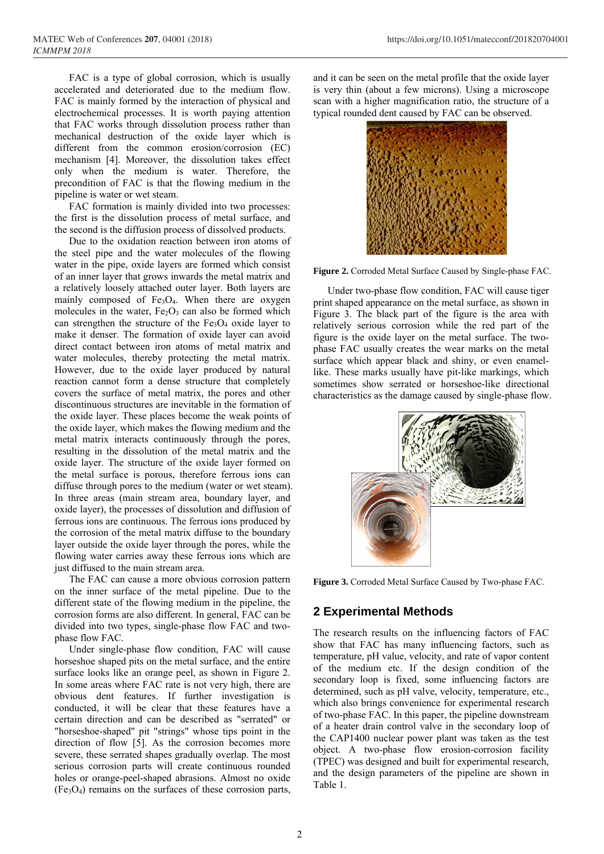FAC is a type of global corrosion, which is usually accelerated and deteriorated due to the medium flow. FAC is mainly formed by the interaction of physical and electrochemical processes. It is worth paying attention that FAC works through dissolution process rather than mechanical destruction of the oxide layer which is different from the common erosion/corrosion (EC) mechanism [4]. Moreover, the dissolution takes effect only when the medium is water. Therefore, the precondition of FAC is that the flowing medium in the pipeline is water or wet steam.

FAC formation is mainly divided into two processes: the first is the dissolution process of metal surface, and the second is the diffusion process of dissolved products.

Due to the oxidation reaction between iron atoms of the steel pipe and the water molecules of the flowing water in the pipe, oxide layers are formed which consist of an inner layer that grows inwards the metal matrix and a relatively loosely attached outer layer. Both layers are mainly composed of  $Fe<sub>3</sub>O<sub>4</sub>$ . When there are oxygen molecules in the water,  $Fe<sub>2</sub>O<sub>3</sub>$  can also be formed which can strengthen the structure of the  $Fe<sub>3</sub>O<sub>4</sub>$  oxide layer to make it denser. The formation of oxide layer can avoid direct contact between iron atoms of metal matrix and water molecules, thereby protecting the metal matrix. However, due to the oxide layer produced by natural reaction cannot form a dense structure that completely covers the surface of metal matrix, the pores and other discontinuous structures are inevitable in the formation of the oxide layer. These places become the weak points of the oxide layer, which makes the flowing medium and the metal matrix interacts continuously through the pores, resulting in the dissolution of the metal matrix and the oxide layer. The structure of the oxide layer formed on the metal surface is porous, therefore ferrous ions can diffuse through pores to the medium (water or wet steam). In three areas (main stream area, boundary layer, and oxide layer), the processes of dissolution and diffusion of ferrous ions are continuous. The ferrous ions produced by the corrosion of the metal matrix diffuse to the boundary layer outside the oxide layer through the pores, while the flowing water carries away these ferrous ions which are just diffused to the main stream area.

The FAC can cause a more obvious corrosion pattern on the inner surface of the metal pipeline. Due to the different state of the flowing medium in the pipeline, the corrosion forms are also different. In general, FAC can be divided into two types, single-phase flow FAC and twophase flow FAC.

Under single-phase flow condition, FAC will cause horseshoe shaped pits on the metal surface, and the entire surface looks like an orange peel, as shown in Figure 2. In some areas where FAC rate is not very high, there are obvious dent features. If further investigation is conducted, it will be clear that these features have a certain direction and can be described as "serrated" or "horseshoe-shaped" pit "strings" whose tips point in the direction of flow [5]. As the corrosion becomes more severe, these serrated shapes gradually overlap. The most serious corrosion parts will create continuous rounded holes or orange-peel-shaped abrasions. Almost no oxide  $(Fe<sub>3</sub>O<sub>4</sub>)$  remains on the surfaces of these corrosion parts,

and it can be seen on the metal profile that the oxide layer is very thin (about a few microns). Using a microscope scan with a higher magnification ratio, the structure of a typical rounded dent caused by FAC can be observed.



**Figure 2.** Corroded Metal Surface Caused by Single-phase FAC.

Under two-phase flow condition, FAC will cause tiger print shaped appearance on the metal surface, as shown in Figure 3. The black part of the figure is the area with relatively serious corrosion while the red part of the figure is the oxide layer on the metal surface. The twophase FAC usually creates the wear marks on the metal surface which appear black and shiny, or even enamellike. These marks usually have pit-like markings, which sometimes show serrated or horseshoe-like directional characteristics as the damage caused by single-phase flow.



**Figure 3.** Corroded Metal Surface Caused by Two-phase FAC.

## **2 Experimental Methods**

The research results on the influencing factors of FAC show that FAC has many influencing factors, such as temperature, pH value, velocity, and rate of vapor content of the medium etc. If the design condition of the secondary loop is fixed, some influencing factors are determined, such as pH valve, velocity, temperature, etc., which also brings convenience for experimental research of two-phase FAC. In this paper, the pipeline downstream of a heater drain control valve in the secondary loop of the CAP1400 nuclear power plant was taken as the test object. A two-phase flow erosion-corrosion facility (TPEC) was designed and built for experimental research, and the design parameters of the pipeline are shown in Table 1.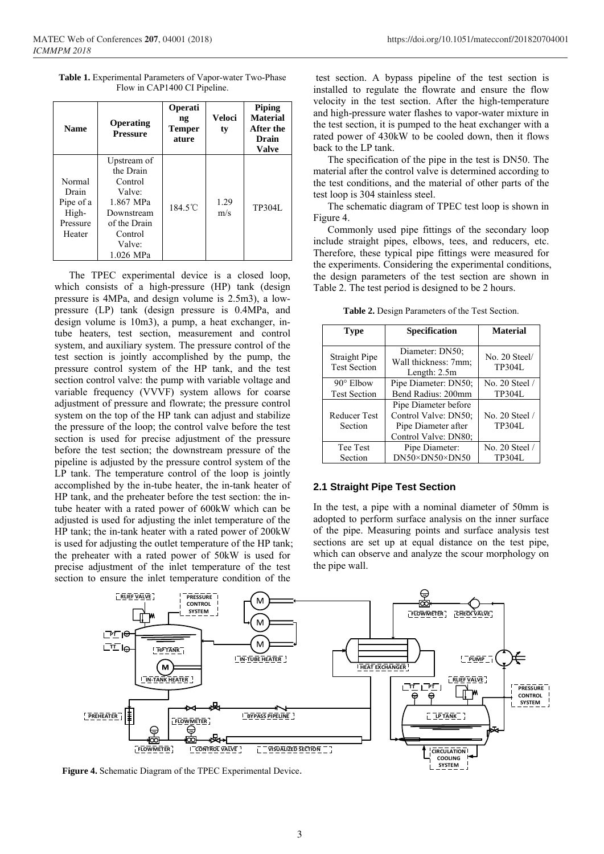| <b>Name</b>                                                 | Operating<br><b>Pressure</b>                                                                                               | <b>Operati</b><br>$\mathbf{n}\mathbf{g}$<br><b>Temper</b><br>ature | Veloci<br>ty | <b>Piping</b><br><b>Material</b><br>After the<br>Drain<br><b>Valve</b> |
|-------------------------------------------------------------|----------------------------------------------------------------------------------------------------------------------------|--------------------------------------------------------------------|--------------|------------------------------------------------------------------------|
| Normal<br>Drain<br>Pipe of a<br>High-<br>Pressure<br>Heater | Upstream of<br>the Drain<br>Control<br>Valve:<br>1.867 MPa<br>Downstream<br>of the Drain<br>Control<br>Valve:<br>1.026 MPa | 184.5°C                                                            | 1.29<br>m/s  | TP304L                                                                 |

**Table 1.** Experimental Parameters of Vapor-water Two-Phase Flow in CAP1400 CI Pipeline.

The TPEC experimental device is a closed loop, which consists of a high-pressure (HP) tank (design pressure is 4MPa, and design volume is 2.5m3), a lowpressure (LP) tank (design pressure is 0.4MPa, and design volume is 10m3), a pump, a heat exchanger, intube heaters, test section, measurement and control system, and auxiliary system. The pressure control of the test section is jointly accomplished by the pump, the pressure control system of the HP tank, and the test section control valve: the pump with variable voltage and variable frequency (VVVF) system allows for coarse adjustment of pressure and flowrate; the pressure control system on the top of the HP tank can adjust and stabilize the pressure of the loop; the control valve before the test section is used for precise adjustment of the pressure before the test section; the downstream pressure of the pipeline is adjusted by the pressure control system of the LP tank. The temperature control of the loop is jointly accomplished by the in-tube heater, the in-tank heater of HP tank, and the preheater before the test section: the intube heater with a rated power of 600kW which can be adjusted is used for adjusting the inlet temperature of the HP tank; the in-tank heater with a rated power of 200kW is used for adjusting the outlet temperature of the HP tank; the preheater with a rated power of 50kW is used for precise adjustment of the inlet temperature of the test section to ensure the inlet temperature condition of the

 test section. A bypass pipeline of the test section is installed to regulate the flowrate and ensure the flow velocity in the test section. After the high-temperature and high-pressure water flashes to vapor-water mixture in the test section, it is pumped to the heat exchanger with a rated power of 430kW to be cooled down, then it flows back to the LP tank.

The specification of the pipe in the test is DN50. The material after the control valve is determined according to the test conditions, and the material of other parts of the test loop is 304 stainless steel.

The schematic diagram of TPEC test loop is shown in Figure 4.

Commonly used pipe fittings of the secondary loop include straight pipes, elbows, tees, and reducers, etc. Therefore, these typical pipe fittings were measured for the experiments. Considering the experimental conditions, the design parameters of the test section are shown in Table 2. The test period is designed to be 2 hours.

**Table 2.** Design Parameters of the Test Section.

| <b>Type</b>                                 | <b>Specification</b>                                                                        | <b>Material</b>                 |
|---------------------------------------------|---------------------------------------------------------------------------------------------|---------------------------------|
| <b>Straight Pipe</b><br><b>Test Section</b> | Diameter: DN50;<br>Wall thickness: 7mm;<br>Length: $2.5m$                                   | No. 20 Steel/<br><b>TP304L</b>  |
| $90^\circ$ Elbow<br><b>Test Section</b>     | Pipe Diameter: DN50;<br>Bend Radius: 200mm                                                  | No. 20 Steel /<br><b>TP304L</b> |
| <b>Reducer Test</b><br>Section              | Pipe Diameter before<br>Control Valve: DN50;<br>Pipe Diameter after<br>Control Valve: DN80; | No. 20 Steel /<br>TP304L        |
| <b>Tee Test</b><br>Section                  | Pipe Diameter:<br>DN50×DN50×DN50                                                            | No. 20 Steel /<br><b>TP304L</b> |

#### **2.1 Straight Pipe Test Section**

In the test, a pipe with a nominal diameter of 50mm is adopted to perform surface analysis on the inner surface of the pipe. Measuring points and surface analysis test sections are set up at equal distance on the test pipe, which can observe and analyze the scour morphology on the pipe wall.



**Figure 4.** Schematic Diagram of the TPEC Experimental Device.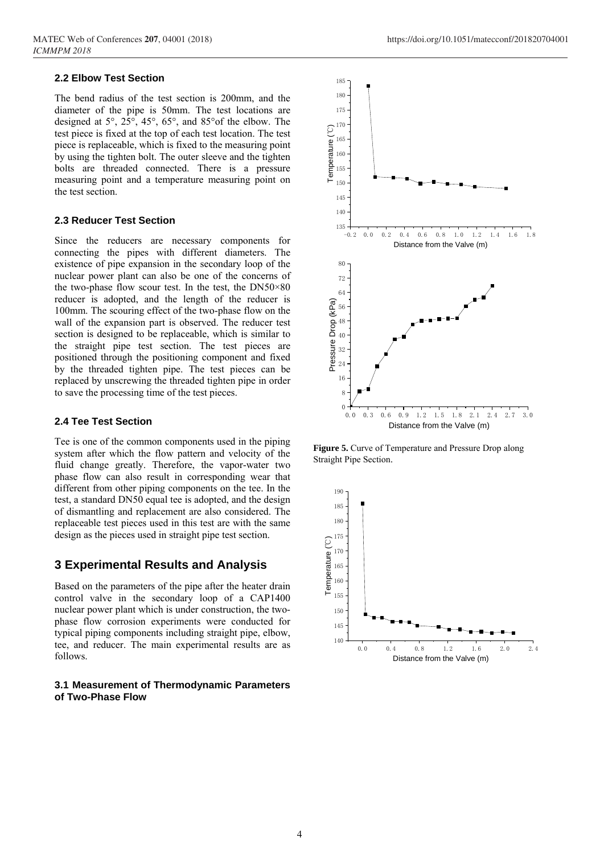## **2.2 Elbow Test Section**

The bend radius of the test section is 200mm, and the diameter of the pipe is 50mm. The test locations are designed at 5°, 25°, 45°, 65°, and 85°of the elbow. The test piece is fixed at the top of each test location. The test piece is replaceable, which is fixed to the measuring point by using the tighten bolt. The outer sleeve and the tighten bolts are threaded connected. There is a pressure measuring point and a temperature measuring point on the test section.

## **2.3 Reducer Test Section**

Since the reducers are necessary components for connecting the pipes with different diameters. The existence of pipe expansion in the secondary loop of the nuclear power plant can also be one of the concerns of the two-phase flow scour test. In the test, the  $DN50\times80$ reducer is adopted, and the length of the reducer is 100mm. The scouring effect of the two-phase flow on the wall of the expansion part is observed. The reducer test section is designed to be replaceable, which is similar to the straight pipe test section. The test pieces are positioned through the positioning component and fixed by the threaded tighten pipe. The test pieces can be replaced by unscrewing the threaded tighten pipe in order to save the processing time of the test pieces.

#### **2.4 Tee Test Section**

Tee is one of the common components used in the piping system after which the flow pattern and velocity of the fluid change greatly. Therefore, the vapor-water two phase flow can also result in corresponding wear that different from other piping components on the tee. In the test, a standard DN50 equal tee is adopted, and the design of dismantling and replacement are also considered. The replaceable test pieces used in this test are with the same design as the pieces used in straight pipe test section.

## **3 Experimental Results and Analysis**

Based on the parameters of the pipe after the heater drain control valve in the secondary loop of a CAP1400 nuclear power plant which is under construction, the twophase flow corrosion experiments were conducted for typical piping components including straight pipe, elbow, tee, and reducer. The main experimental results are as follows.

## **3.1 Measurement of Thermodynamic Parameters of Two-Phase Flow**



**Figure 5.** Curve of Temperature and Pressure Drop along Straight Pipe Section.

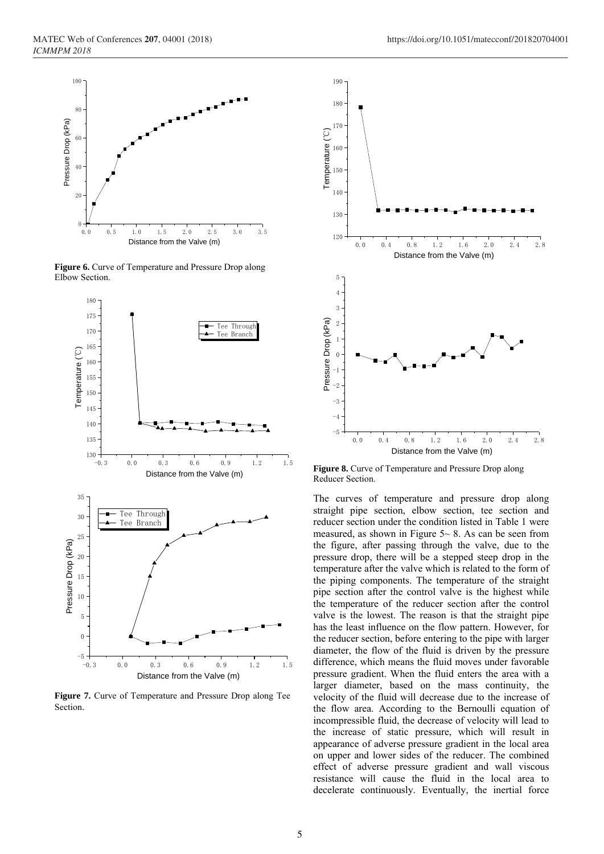

**Figure 6.** Curve of Temperature and Pressure Drop along Elbow Section.



**Figure 7.** Curve of Temperature and Pressure Drop along Tee Section.



**Figure 8.** Curve of Temperature and Pressure Drop along Reducer Section.

The curves of temperature and pressure drop along straight pipe section, elbow section, tee section and reducer section under the condition listed in Table 1 were measured, as shown in Figure  $5 \sim 8$ . As can be seen from the figure, after passing through the valve, due to the pressure drop, there will be a stepped steep drop in the temperature after the valve which is related to the form of the piping components. The temperature of the straight pipe section after the control valve is the highest while the temperature of the reducer section after the control valve is the lowest. The reason is that the straight pipe has the least influence on the flow pattern. However, for the reducer section, before entering to the pipe with larger diameter, the flow of the fluid is driven by the pressure difference, which means the fluid moves under favorable pressure gradient. When the fluid enters the area with a larger diameter, based on the mass continuity, the velocity of the fluid will decrease due to the increase of the flow area. According to the Bernoulli equation of incompressible fluid, the decrease of velocity will lead to the increase of static pressure, which will result in appearance of adverse pressure gradient in the local area on upper and lower sides of the reducer. The combined effect of adverse pressure gradient and wall viscous resistance will cause the fluid in the local area to decelerate continuously. Eventually, the inertial force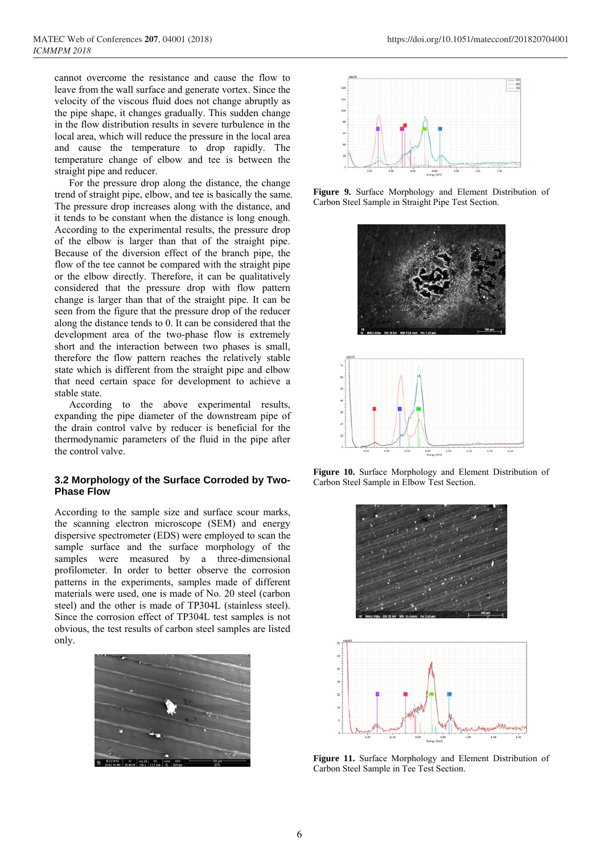cannot overcome the resistance and cause the flow to leave from the wall surface and generate vortex. Since the velocity of the viscous fluid does not change abruptly as the pipe shape, it changes gradually. This sudden change in the flow distribution results in severe turbulence in the local area, which will reduce the pressure in the local area and cause the temperature to drop rapidly. The temperature change of elbow and tee is between the straight pipe and reducer.

For the pressure drop along the distance, the change trend of straight pipe, elbow, and tee is basically the same. The pressure drop increases along with the distance, and it tends to be constant when the distance is long enough. According to the experimental results, the pressure drop of the elbow is larger than that of the straight pipe. Because of the diversion effect of the branch pipe, the flow of the tee cannot be compared with the straight pipe or the elbow directly. Therefore, it can be qualitatively considered that the pressure drop with flow pattern change is larger than that of the straight pipe. It can be seen from the figure that the pressure drop of the reducer along the distance tends to 0. It can be considered that the development area of the two-phase flow is extremely short and the interaction between two phases is small, therefore the flow pattern reaches the relatively stable state which is different from the straight pipe and elbow that need certain space for development to achieve a stable state.

According to the above experimental results, expanding the pipe diameter of the downstream pipe of the drain control valve by reducer is beneficial for the thermodynamic parameters of the fluid in the pipe after the control valve.

## **3.2 Morphology of the Surface Corroded by Two-Phase Flow**

According to the sample size and surface scour marks, the scanning electron microscope (SEM) and energy dispersive spectrometer (EDS) were employed to scan the sample surface and the surface morphology of the samples were measured by a three-dimensional profilometer. In order to better observe the corrosion patterns in the experiments, samples made of different materials were used, one is made of No. 20 steel (carbon steel) and the other is made of TP304L (stainless steel). Since the corrosion effect of TP304L test samples is not obvious, the test results of carbon steel samples are listed only.





**Figure 9.** Surface Morphology and Element Distribution of Carbon Steel Sample in Straight Pipe Test Section.



**Figure 10.** Surface Morphology and Element Distribution of Carbon Steel Sample in Elbow Test Section.



**Figure 11.** Surface Morphology and Element Distribution of Carbon Steel Sample in Tee Test Section.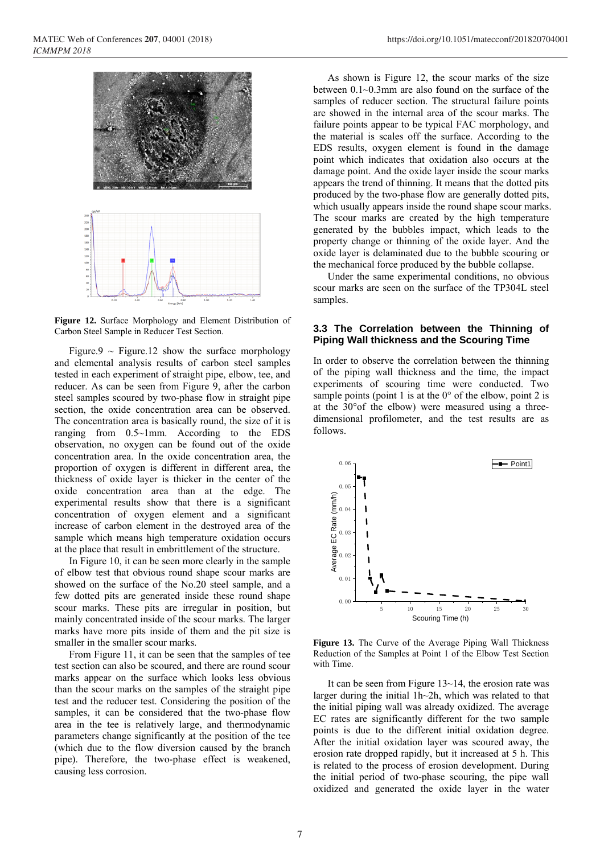

**Figure 12.** Surface Morphology and Element Distribution of Carbon Steel Sample in Reducer Test Section.

Figure.9  $\sim$  Figure.12 show the surface morphology and elemental analysis results of carbon steel samples tested in each experiment of straight pipe, elbow, tee, and reducer. As can be seen from Figure 9, after the carbon steel samples scoured by two-phase flow in straight pipe section, the oxide concentration area can be observed. The concentration area is basically round, the size of it is ranging from 0.5~1mm. According to the EDS observation, no oxygen can be found out of the oxide concentration area. In the oxide concentration area, the proportion of oxygen is different in different area, the thickness of oxide layer is thicker in the center of the oxide concentration area than at the edge. The experimental results show that there is a significant concentration of oxygen element and a significant increase of carbon element in the destroyed area of the sample which means high temperature oxidation occurs at the place that result in embrittlement of the structure.

In Figure 10, it can be seen more clearly in the sample of elbow test that obvious round shape scour marks are showed on the surface of the No.20 steel sample, and a few dotted pits are generated inside these round shape scour marks. These pits are irregular in position, but mainly concentrated inside of the scour marks. The larger marks have more pits inside of them and the pit size is smaller in the smaller scour marks.

From Figure 11, it can be seen that the samples of tee test section can also be scoured, and there are round scour marks appear on the surface which looks less obvious than the scour marks on the samples of the straight pipe test and the reducer test. Considering the position of the samples, it can be considered that the two-phase flow area in the tee is relatively large, and thermodynamic parameters change significantly at the position of the tee (which due to the flow diversion caused by the branch pipe). Therefore, the two-phase effect is weakened, causing less corrosion.

As shown is Figure 12, the scour marks of the size between 0.1~0.3mm are also found on the surface of the samples of reducer section. The structural failure points are showed in the internal area of the scour marks. The failure points appear to be typical FAC morphology, and the material is scales off the surface. According to the EDS results, oxygen element is found in the damage point which indicates that oxidation also occurs at the damage point. And the oxide layer inside the scour marks appears the trend of thinning. It means that the dotted pits produced by the two-phase flow are generally dotted pits, which usually appears inside the round shape scour marks. The scour marks are created by the high temperature generated by the bubbles impact, which leads to the property change or thinning of the oxide layer. And the oxide layer is delaminated due to the bubble scouring or the mechanical force produced by the bubble collapse.

Under the same experimental conditions, no obvious scour marks are seen on the surface of the TP304L steel samples.

## **3.3 The Correlation between the Thinning of Piping Wall thickness and the Scouring Time**

In order to observe the correlation between the thinning of the piping wall thickness and the time, the impact experiments of scouring time were conducted. Two sample points (point 1 is at the  $0^{\circ}$  of the elbow, point 2 is at the 30°of the elbow) were measured using a threedimensional profilometer, and the test results are as follows.



**Figure 13.** The Curve of the Average Piping Wall Thickness Reduction of the Samples at Point 1 of the Elbow Test Section with Time.

It can be seen from Figure  $13{\sim}14$ , the erosion rate was larger during the initial 1h~2h, which was related to that the initial piping wall was already oxidized. The average EC rates are significantly different for the two sample points is due to the different initial oxidation degree. After the initial oxidation layer was scoured away, the erosion rate dropped rapidly, but it increased at 5 h. This is related to the process of erosion development. During the initial period of two-phase scouring, the pipe wall oxidized and generated the oxide layer in the water